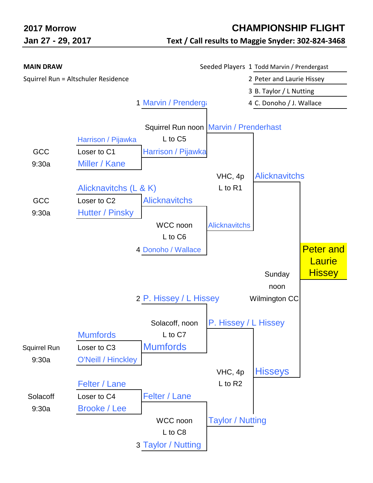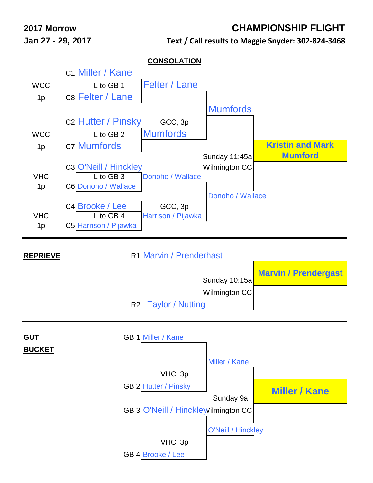## **2017 Morrow CHAMPIONSHIP FLIGHT**

**Jan 27 - 29, 2017 Text / Call results to Maggie Snyder: 302-824-3468**

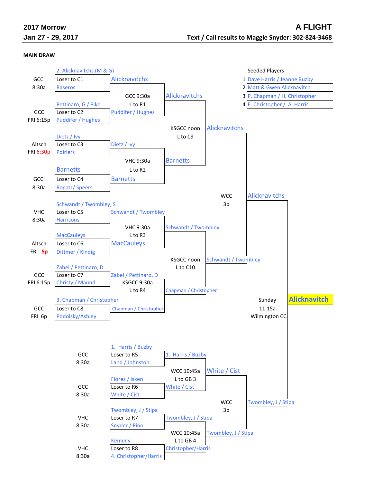|  | 2017 Morrow |                   |
|--|-------------|-------------------|
|  |             | Jan 27 - 29, 2017 |

## **MAIN DRAW**

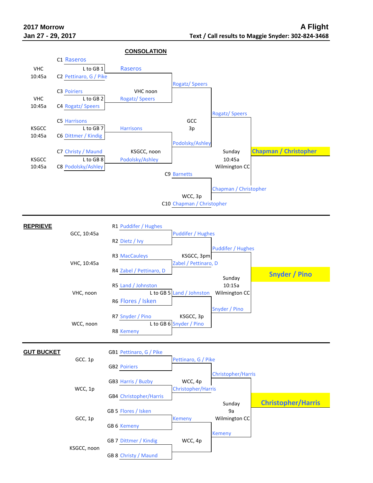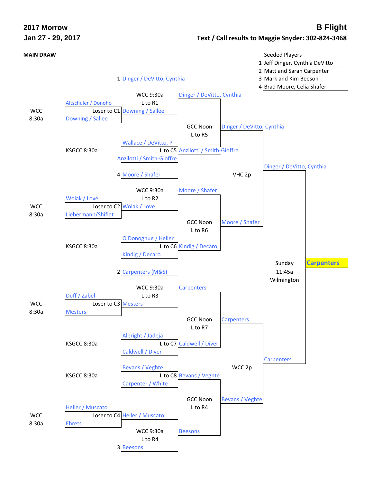